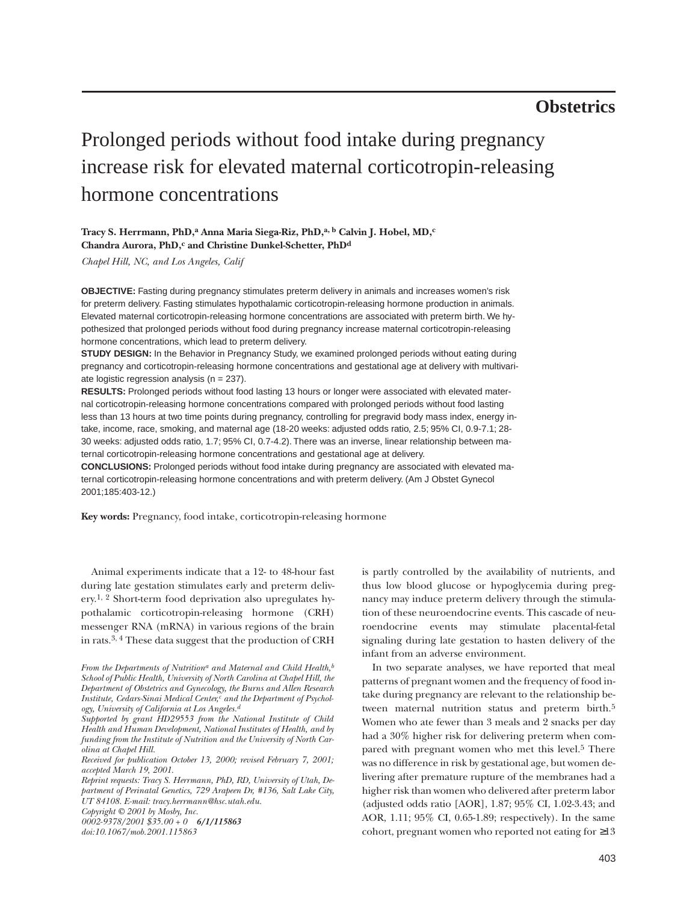# **Obstetrics**

# Prolonged periods without food intake during pregnancy increase risk for elevated maternal corticotropin-releasing hormone concentrations

## **Tracy S. Herrmann, PhD,a Anna Maria Siega-Riz, PhD,a, b Calvin J. Hobel, MD,c Chandra Aurora, PhD,c and Christine Dunkel-Schetter, PhDd**

*Chapel Hill, NC, and Los Angeles, Calif*

**OBJECTIVE:** Fasting during pregnancy stimulates preterm delivery in animals and increases women's risk for preterm delivery. Fasting stimulates hypothalamic corticotropin-releasing hormone production in animals. Elevated maternal corticotropin-releasing hormone concentrations are associated with preterm birth. We hypothesized that prolonged periods without food during pregnancy increase maternal corticotropin-releasing hormone concentrations, which lead to preterm delivery.

**STUDY DESIGN:** In the Behavior in Pregnancy Study, we examined prolonged periods without eating during pregnancy and corticotropin-releasing hormone concentrations and gestational age at delivery with multivariate logistic regression analysis ( $n = 237$ ).

**RESULTS:** Prolonged periods without food lasting 13 hours or longer were associated with elevated maternal corticotropin-releasing hormone concentrations compared with prolonged periods without food lasting less than 13 hours at two time points during pregnancy, controlling for pregravid body mass index, energy intake, income, race, smoking, and maternal age (18-20 weeks: adjusted odds ratio, 2.5; 95% CI, 0.9-7.1; 28- 30 weeks: adjusted odds ratio, 1.7; 95% CI, 0.7-4.2). There was an inverse, linear relationship between maternal corticotropin-releasing hormone concentrations and gestational age at delivery.

**CONCLUSIONS:** Prolonged periods without food intake during pregnancy are associated with elevated maternal corticotropin-releasing hormone concentrations and with preterm delivery. (Am J Obstet Gynecol 2001;185:403-12.)

**Key words:** Pregnancy, food intake, corticotropin-releasing hormone

Animal experiments indicate that a 12- to 48-hour fast during late gestation stimulates early and preterm delivery.1, 2 Short-term food deprivation also upregulates hypothalamic corticotropin-releasing hormone (CRH) messenger RNA (mRNA) in various regions of the brain in rats.3, 4 These data suggest that the production of CRH

*Reprint requests: Tracy S. Herrmann, PhD, RD, University of Utah, Department of Perinatal Genetics, 729 Arapeen Dr, #136, Salt Lake City, UT 84108. E-mail: tracy.herrmann@hsc.utah.edu.*

*Copyright © 2001 by Mosby, Inc.*

*0002-9378/2001 \$35.00 + 0 6/1/115863*

*doi:10.1067/mob.2001.115863*

is partly controlled by the availability of nutrients, and thus low blood glucose or hypoglycemia during pregnancy may induce preterm delivery through the stimulation of these neuroendocrine events. This cascade of neuroendocrine events may stimulate placental-fetal signaling during late gestation to hasten delivery of the infant from an adverse environment.

In two separate analyses, we have reported that meal patterns of pregnant women and the frequency of food intake during pregnancy are relevant to the relationship between maternal nutrition status and preterm birth.<sup>5</sup> Women who ate fewer than 3 meals and 2 snacks per day had a 30% higher risk for delivering preterm when compared with pregnant women who met this level.<sup>5</sup> There was no difference in risk by gestational age, but women delivering after premature rupture of the membranes had a higher risk than women who delivered after preterm labor (adjusted odds ratio [AOR], 1.87; 95% CI, 1.02-3.43; and AOR, 1.11; 95% CI, 0.65-1.89; respectively). In the same cohort, pregnant women who reported not eating for ≥13

From the Departments of Nutrition<sup>a</sup> and Maternal and Child Health,<sup>b</sup> *School of Public Health, University of North Carolina at Chapel Hill, the Department of Obstetrics and Gynecology, the Burns and Allen Research* Institute, Cedars-Sinai Medical Center,<sup>c</sup> and the Department of Psychol*ogy, University of California at Los Angeles.d*

*Supported by grant HD29553 from the National Institute of Child Health and Human Development, National Institutes of Health, and by funding from the Institute of Nutrition and the University of North Carolina at Chapel Hill.*

*Received for publication October 13, 2000; revised February 7, 2001; accepted March 19, 2001.*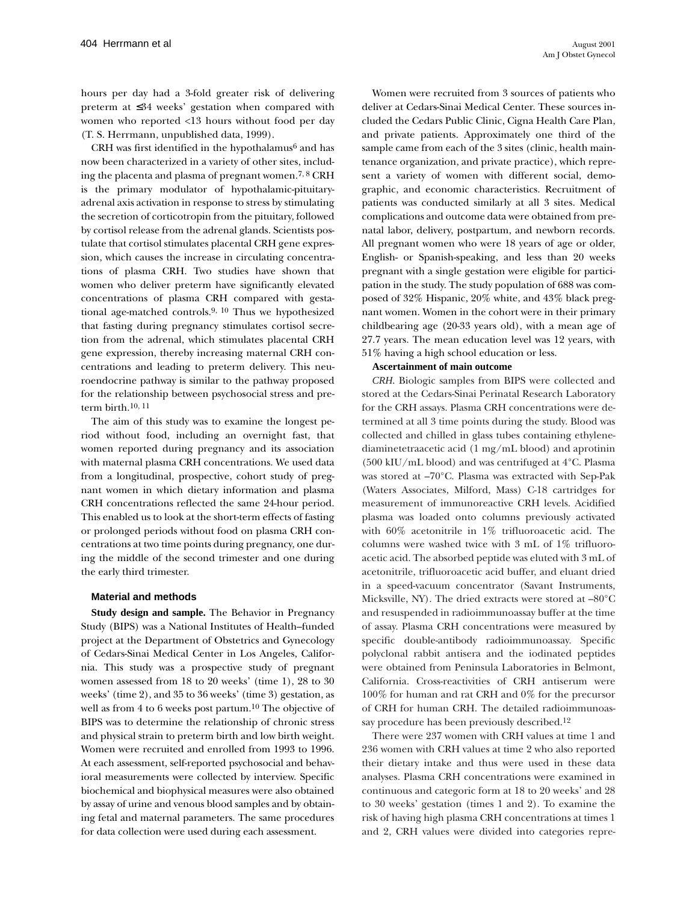hours per day had a 3-fold greater risk of delivering preterm at ≤34 weeks' gestation when compared with women who reported <13 hours without food per day (T. S. Herrmann, unpublished data, 1999).

CRH was first identified in the hypothalamus $6$  and has now been characterized in a variety of other sites, including the placenta and plasma of pregnant women.7, 8 CRH is the primary modulator of hypothalamic-pituitaryadrenal axis activation in response to stress by stimulating the secretion of corticotropin from the pituitary, followed by cortisol release from the adrenal glands. Scientists postulate that cortisol stimulates placental CRH gene expression, which causes the increase in circulating concentrations of plasma CRH. Two studies have shown that women who deliver preterm have significantly elevated concentrations of plasma CRH compared with gestational age-matched controls.9, 10 Thus we hypothesized that fasting during pregnancy stimulates cortisol secretion from the adrenal, which stimulates placental CRH gene expression, thereby increasing maternal CRH concentrations and leading to preterm delivery. This neuroendocrine pathway is similar to the pathway proposed for the relationship between psychosocial stress and preterm birth.10, 11

The aim of this study was to examine the longest period without food, including an overnight fast, that women reported during pregnancy and its association with maternal plasma CRH concentrations. We used data from a longitudinal, prospective, cohort study of pregnant women in which dietary information and plasma CRH concentrations reflected the same 24-hour period. This enabled us to look at the short-term effects of fasting or prolonged periods without food on plasma CRH concentrations at two time points during pregnancy, one during the middle of the second trimester and one during the early third trimester.

#### **Material and methods**

**Study design and sample.** The Behavior in Pregnancy Study (BIPS) was a National Institutes of Health–funded project at the Department of Obstetrics and Gynecology of Cedars-Sinai Medical Center in Los Angeles, California. This study was a prospective study of pregnant women assessed from 18 to 20 weeks' (time 1), 28 to 30 weeks' (time 2), and 35 to 36 weeks' (time 3) gestation, as well as from 4 to 6 weeks post partum.<sup>10</sup> The objective of BIPS was to determine the relationship of chronic stress and physical strain to preterm birth and low birth weight. Women were recruited and enrolled from 1993 to 1996. At each assessment, self-reported psychosocial and behavioral measurements were collected by interview. Specific biochemical and biophysical measures were also obtained by assay of urine and venous blood samples and by obtaining fetal and maternal parameters. The same procedures for data collection were used during each assessment.

Women were recruited from 3 sources of patients who deliver at Cedars-Sinai Medical Center. These sources included the Cedars Public Clinic, Cigna Health Care Plan, and private patients. Approximately one third of the sample came from each of the 3 sites (clinic, health maintenance organization, and private practice), which represent a variety of women with different social, demographic, and economic characteristics. Recruitment of patients was conducted similarly at all 3 sites. Medical complications and outcome data were obtained from prenatal labor, delivery, postpartum, and newborn records. All pregnant women who were 18 years of age or older, English- or Spanish-speaking, and less than 20 weeks pregnant with a single gestation were eligible for participation in the study. The study population of 688 was composed of 32% Hispanic, 20% white, and 43% black pregnant women. Women in the cohort were in their primary childbearing age (20-33 years old), with a mean age of 27.7 years. The mean education level was 12 years, with 51% having a high school education or less.

#### **Ascertainment of main outcome**

*CRH.* Biologic samples from BIPS were collected and stored at the Cedars-Sinai Perinatal Research Laboratory for the CRH assays. Plasma CRH concentrations were determined at all 3 time points during the study. Blood was collected and chilled in glass tubes containing ethylenediaminetetraacetic acid (1 mg/mL blood) and aprotinin (500 kIU/mL blood) and was centrifuged at 4°C. Plasma was stored at –70°C. Plasma was extracted with Sep-Pak (Waters Associates, Milford, Mass) C-18 cartridges for measurement of immunoreactive CRH levels. Acidified plasma was loaded onto columns previously activated with 60% acetonitrile in 1% trifluoroacetic acid. The columns were washed twice with 3 mL of 1% trifluoroacetic acid. The absorbed peptide was eluted with 3 mL of acetonitrile, trifluoroacetic acid buffer, and eluant dried in a speed-vacuum concentrator (Savant Instruments, Micksville, NY). The dried extracts were stored at –80°C and resuspended in radioimmunoassay buffer at the time of assay. Plasma CRH concentrations were measured by specific double-antibody radioimmunoassay. Specific polyclonal rabbit antisera and the iodinated peptides were obtained from Peninsula Laboratories in Belmont, California. Cross-reactivities of CRH antiserum were 100% for human and rat CRH and 0% for the precursor of CRH for human CRH. The detailed radioimmunoassay procedure has been previously described.12

There were 237 women with CRH values at time 1 and 236 women with CRH values at time 2 who also reported their dietary intake and thus were used in these data analyses. Plasma CRH concentrations were examined in continuous and categoric form at 18 to 20 weeks' and 28 to 30 weeks' gestation (times 1 and 2). To examine the risk of having high plasma CRH concentrations at times 1 and 2, CRH values were divided into categories repre-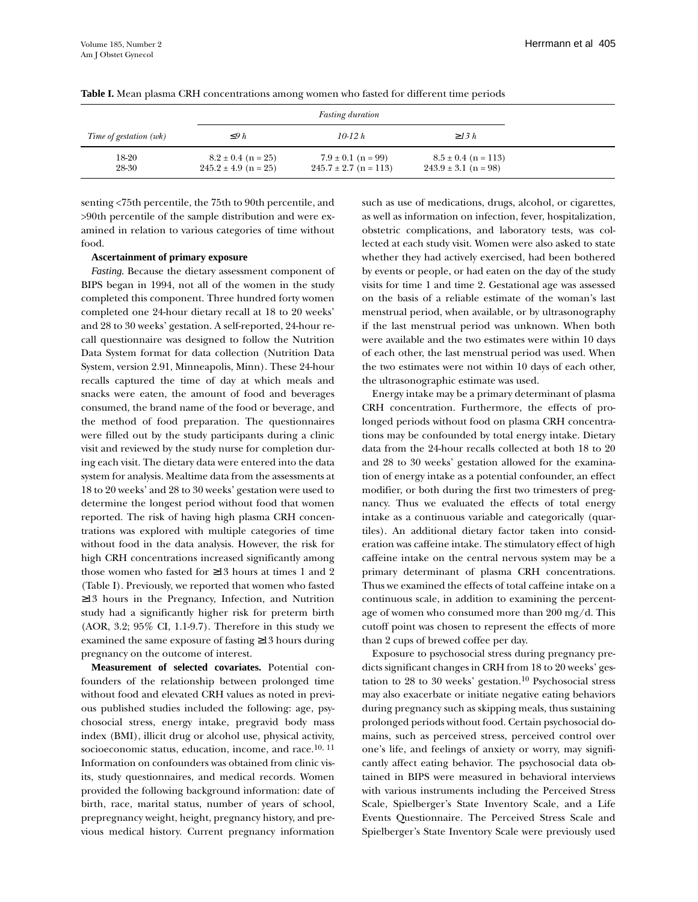|                        |                                                    | <b>Fasting duration</b>                             |                                                     |  |
|------------------------|----------------------------------------------------|-----------------------------------------------------|-----------------------------------------------------|--|
| Time of gestation (wk) | $\leq$ 9 h                                         | $10-12 h$                                           | $\geq$ 13 h                                         |  |
| 18-20<br>28-30         | $8.2 \pm 0.4$ (n = 25)<br>$245.2 \pm 4.9$ (n = 25) | $7.9 \pm 0.1$ (n = 99)<br>$245.7 \pm 2.7$ (n = 113) | $8.5 \pm 0.4$ (n = 113)<br>$243.9 \pm 3.1$ (n = 98) |  |

#### **Table I.** Mean plasma CRH concentrations among women who fasted for different time periods

senting <75th percentile, the 75th to 90th percentile, and >90th percentile of the sample distribution and were examined in relation to various categories of time without food.

#### **Ascertainment of primary exposure**

*Fasting.* Because the dietary assessment component of BIPS began in 1994, not all of the women in the study completed this component. Three hundred forty women completed one 24-hour dietary recall at 18 to 20 weeks' and 28 to 30 weeks' gestation. A self-reported, 24-hour recall questionnaire was designed to follow the Nutrition Data System format for data collection (Nutrition Data System, version 2.91, Minneapolis, Minn). These 24-hour recalls captured the time of day at which meals and snacks were eaten, the amount of food and beverages consumed, the brand name of the food or beverage, and the method of food preparation. The questionnaires were filled out by the study participants during a clinic visit and reviewed by the study nurse for completion during each visit. The dietary data were entered into the data system for analysis. Mealtime data from the assessments at 18 to 20 weeks' and 28 to 30 weeks' gestation were used to determine the longest period without food that women reported. The risk of having high plasma CRH concentrations was explored with multiple categories of time without food in the data analysis. However, the risk for high CRH concentrations increased significantly among those women who fasted for ≥13 hours at times 1 and 2 (Table I). Previously, we reported that women who fasted ≥13 hours in the Pregnancy, Infection, and Nutrition study had a significantly higher risk for preterm birth (AOR, 3.2; 95% CI, 1.1-9.7). Therefore in this study we examined the same exposure of fasting ≥13 hours during pregnancy on the outcome of interest.

**Measurement of selected covariates.** Potential confounders of the relationship between prolonged time without food and elevated CRH values as noted in previous published studies included the following: age, psychosocial stress, energy intake, pregravid body mass index (BMI), illicit drug or alcohol use, physical activity, socioeconomic status, education, income, and race.<sup>10, 11</sup> Information on confounders was obtained from clinic visits, study questionnaires, and medical records. Women provided the following background information: date of birth, race, marital status, number of years of school, prepregnancy weight, height, pregnancy history, and previous medical history. Current pregnancy information such as use of medications, drugs, alcohol, or cigarettes, as well as information on infection, fever, hospitalization, obstetric complications, and laboratory tests, was collected at each study visit. Women were also asked to state whether they had actively exercised, had been bothered by events or people, or had eaten on the day of the study visits for time 1 and time 2. Gestational age was assessed on the basis of a reliable estimate of the woman's last menstrual period, when available, or by ultrasonography if the last menstrual period was unknown. When both were available and the two estimates were within 10 days of each other, the last menstrual period was used. When the two estimates were not within 10 days of each other, the ultrasonographic estimate was used.

Energy intake may be a primary determinant of plasma CRH concentration. Furthermore, the effects of prolonged periods without food on plasma CRH concentrations may be confounded by total energy intake. Dietary data from the 24-hour recalls collected at both 18 to 20 and 28 to 30 weeks' gestation allowed for the examination of energy intake as a potential confounder, an effect modifier, or both during the first two trimesters of pregnancy. Thus we evaluated the effects of total energy intake as a continuous variable and categorically (quartiles). An additional dietary factor taken into consideration was caffeine intake. The stimulatory effect of high caffeine intake on the central nervous system may be a primary determinant of plasma CRH concentrations. Thus we examined the effects of total caffeine intake on a continuous scale, in addition to examining the percentage of women who consumed more than 200 mg/d. This cutoff point was chosen to represent the effects of more than 2 cups of brewed coffee per day.

Exposure to psychosocial stress during pregnancy predicts significant changes in CRH from 18 to 20 weeks' gestation to 28 to 30 weeks' gestation.10 Psychosocial stress may also exacerbate or initiate negative eating behaviors during pregnancy such as skipping meals, thus sustaining prolonged periods without food. Certain psychosocial domains, such as perceived stress, perceived control over one's life, and feelings of anxiety or worry, may significantly affect eating behavior. The psychosocial data obtained in BIPS were measured in behavioral interviews with various instruments including the Perceived Stress Scale, Spielberger's State Inventory Scale, and a Life Events Questionnaire. The Perceived Stress Scale and Spielberger's State Inventory Scale were previously used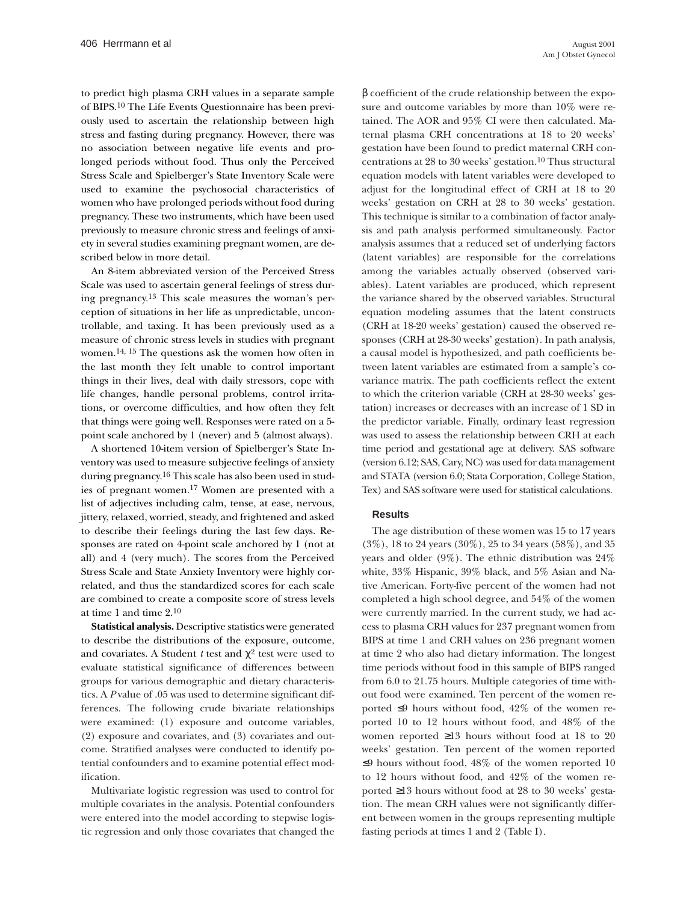to predict high plasma CRH values in a separate sample of BIPS.10 The Life Events Questionnaire has been previously used to ascertain the relationship between high stress and fasting during pregnancy. However, there was no association between negative life events and prolonged periods without food. Thus only the Perceived Stress Scale and Spielberger's State Inventory Scale were used to examine the psychosocial characteristics of women who have prolonged periods without food during pregnancy. These two instruments, which have been used previously to measure chronic stress and feelings of anxiety in several studies examining pregnant women, are described below in more detail.

An 8-item abbreviated version of the Perceived Stress Scale was used to ascertain general feelings of stress during pregnancy.13 This scale measures the woman's perception of situations in her life as unpredictable, uncontrollable, and taxing. It has been previously used as a measure of chronic stress levels in studies with pregnant women.14, 15 The questions ask the women how often in the last month they felt unable to control important things in their lives, deal with daily stressors, cope with life changes, handle personal problems, control irritations, or overcome difficulties, and how often they felt that things were going well. Responses were rated on a 5 point scale anchored by 1 (never) and 5 (almost always).

A shortened 10-item version of Spielberger's State Inventory was used to measure subjective feelings of anxiety during pregnancy.16 This scale has also been used in studies of pregnant women.17 Women are presented with a list of adjectives including calm, tense, at ease, nervous, jittery, relaxed, worried, steady, and frightened and asked to describe their feelings during the last few days. Responses are rated on 4-point scale anchored by 1 (not at all) and 4 (very much). The scores from the Perceived Stress Scale and State Anxiety Inventory were highly correlated, and thus the standardized scores for each scale are combined to create a composite score of stress levels at time 1 and time 2.10

**Statistical analysis.** Descriptive statistics were generated to describe the distributions of the exposure, outcome, and covariates. A Student *t* test and  $\chi^2$  test were used to evaluate statistical significance of differences between groups for various demographic and dietary characteristics. A *P* value of .05 was used to determine significant differences. The following crude bivariate relationships were examined: (1) exposure and outcome variables, (2) exposure and covariates, and (3) covariates and outcome. Stratified analyses were conducted to identify potential confounders and to examine potential effect modification.

Multivariate logistic regression was used to control for multiple covariates in the analysis. Potential confounders were entered into the model according to stepwise logistic regression and only those covariates that changed the

β coefficient of the crude relationship between the exposure and outcome variables by more than 10% were retained. The AOR and 95% CI were then calculated. Maternal plasma CRH concentrations at 18 to 20 weeks' gestation have been found to predict maternal CRH concentrations at 28 to 30 weeks' gestation.10 Thus structural equation models with latent variables were developed to adjust for the longitudinal effect of CRH at 18 to 20 weeks' gestation on CRH at 28 to 30 weeks' gestation. This technique is similar to a combination of factor analysis and path analysis performed simultaneously. Factor analysis assumes that a reduced set of underlying factors (latent variables) are responsible for the correlations among the variables actually observed (observed variables). Latent variables are produced, which represent the variance shared by the observed variables. Structural equation modeling assumes that the latent constructs (CRH at 18-20 weeks' gestation) caused the observed responses (CRH at 28-30 weeks' gestation). In path analysis, a causal model is hypothesized, and path coefficients between latent variables are estimated from a sample's covariance matrix. The path coefficients reflect the extent to which the criterion variable (CRH at 28-30 weeks' gestation) increases or decreases with an increase of 1 SD in the predictor variable. Finally, ordinary least regression was used to assess the relationship between CRH at each time period and gestational age at delivery. SAS software (version 6.12; SAS, Cary, NC) was used for data management and STATA (version 6.0; Stata Corporation, College Station, Tex) and SAS software were used for statistical calculations.

#### **Results**

The age distribution of these women was 15 to 17 years (3%), 18 to 24 years (30%), 25 to 34 years (58%), and 35 years and older (9%). The ethnic distribution was 24% white, 33% Hispanic, 39% black, and 5% Asian and Native American. Forty-five percent of the women had not completed a high school degree, and 54% of the women were currently married. In the current study, we had access to plasma CRH values for 237 pregnant women from BIPS at time 1 and CRH values on 236 pregnant women at time 2 who also had dietary information. The longest time periods without food in this sample of BIPS ranged from 6.0 to 21.75 hours. Multiple categories of time without food were examined. Ten percent of the women reported ≤9 hours without food, 42% of the women reported 10 to 12 hours without food, and 48% of the women reported ≥13 hours without food at 18 to 20 weeks' gestation. Ten percent of the women reported ≤9 hours without food, 48% of the women reported 10 to 12 hours without food, and 42% of the women reported ≥13 hours without food at 28 to 30 weeks' gestation. The mean CRH values were not significantly different between women in the groups representing multiple fasting periods at times 1 and 2 (Table I).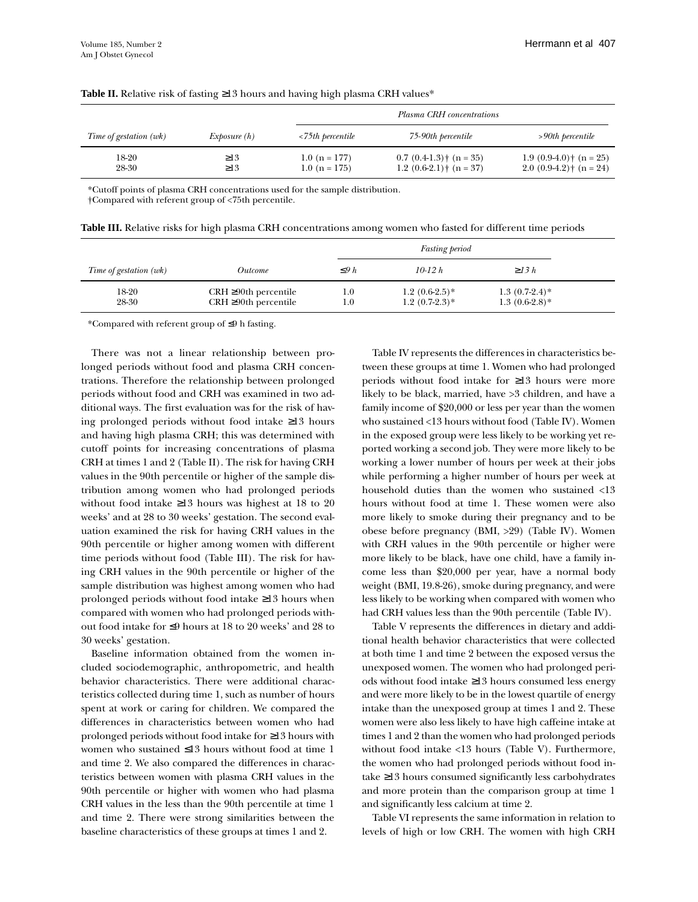|                        |                        |                                   | Plasma CRH concentrations                              |                                                                 |
|------------------------|------------------------|-----------------------------------|--------------------------------------------------------|-----------------------------------------------------------------|
| Time of gestation (wk) | Exposure(h)            | $\langle 75$ th percentile        | 75-90th percentile                                     | $>90$ th percentile                                             |
| 18-20<br>28-30         | $\geq$ 13<br>$\geq$ 13 | $1.0 (n = 177)$<br>$1.0(n = 175)$ | $0.7(0.4-1.3)$ + (n = 35)<br>$1.2(0.6-2.1)$ + (n = 37) | $1.9(0.9-4.0)$ + (n = 25)<br>$2.0$ (0.9-4.2) $\dagger$ (n = 24) |

#### **Table II.** Relative risk of fasting ≥13 hours and having high plasma CRH values\*

\*Cutoff points of plasma CRH concentrations used for the sample distribution. †Compared with referent group of <75th percentile.

| Table III. Relative risks for high plasma CRH concentrations among women who fasted for different time periods |  |
|----------------------------------------------------------------------------------------------------------------|--|
|                                                                                                                |  |

|                        |                                                            | <b>Fasting period</b> |                                     |                                      |  |
|------------------------|------------------------------------------------------------|-----------------------|-------------------------------------|--------------------------------------|--|
| Time of gestation (wk) | <i><u>Outcome</u></i>                                      | $\leq$ 9 h            | $10-12 h$                           | $\geq$ 13 h                          |  |
| 18-20<br>28-30         | $CRH \geq 90$ th percentile<br>$CRH \geq 90$ th percentile | $_{\rm 1.0}$<br>1.0   | $1.2(0.6-2.5)*$<br>$1.2(0.7-2.3)$ * | $1.3(0.7-2.4)$ *<br>$1.3(0.6-2.8)$ * |  |

\*Compared with referent group of ≤9 h fasting.

There was not a linear relationship between prolonged periods without food and plasma CRH concentrations. Therefore the relationship between prolonged periods without food and CRH was examined in two additional ways. The first evaluation was for the risk of having prolonged periods without food intake ≥13 hours and having high plasma CRH; this was determined with cutoff points for increasing concentrations of plasma CRH at times 1 and 2 (Table II). The risk for having CRH values in the 90th percentile or higher of the sample distribution among women who had prolonged periods without food intake ≥13 hours was highest at 18 to 20 weeks' and at 28 to 30 weeks' gestation. The second evaluation examined the risk for having CRH values in the 90th percentile or higher among women with different time periods without food (Table III). The risk for having CRH values in the 90th percentile or higher of the sample distribution was highest among women who had prolonged periods without food intake ≥13 hours when compared with women who had prolonged periods without food intake for ≤9 hours at 18 to 20 weeks' and 28 to 30 weeks' gestation.

Baseline information obtained from the women included sociodemographic, anthropometric, and health behavior characteristics. There were additional characteristics collected during time 1, such as number of hours spent at work or caring for children. We compared the differences in characteristics between women who had prolonged periods without food intake for ≥13 hours with women who sustained ≤13 hours without food at time 1 and time 2. We also compared the differences in characteristics between women with plasma CRH values in the 90th percentile or higher with women who had plasma CRH values in the less than the 90th percentile at time 1 and time 2. There were strong similarities between the baseline characteristics of these groups at times 1 and 2.

Table IV represents the differences in characteristics between these groups at time 1. Women who had prolonged periods without food intake for ≥13 hours were more likely to be black, married, have >3 children, and have a family income of \$20,000 or less per year than the women who sustained <13 hours without food (Table IV). Women in the exposed group were less likely to be working yet reported working a second job. They were more likely to be working a lower number of hours per week at their jobs while performing a higher number of hours per week at household duties than the women who sustained <13 hours without food at time 1. These women were also more likely to smoke during their pregnancy and to be obese before pregnancy (BMI, >29) (Table IV). Women with CRH values in the 90th percentile or higher were more likely to be black, have one child, have a family income less than \$20,000 per year, have a normal body weight (BMI, 19.8-26), smoke during pregnancy, and were less likely to be working when compared with women who had CRH values less than the 90th percentile (Table IV).

Table V represents the differences in dietary and additional health behavior characteristics that were collected at both time 1 and time 2 between the exposed versus the unexposed women. The women who had prolonged periods without food intake ≥13 hours consumed less energy and were more likely to be in the lowest quartile of energy intake than the unexposed group at times 1 and 2. These women were also less likely to have high caffeine intake at times 1 and 2 than the women who had prolonged periods without food intake <13 hours (Table V). Furthermore, the women who had prolonged periods without food intake ≥13 hours consumed significantly less carbohydrates and more protein than the comparison group at time 1 and significantly less calcium at time 2.

Table VI represents the same information in relation to levels of high or low CRH. The women with high CRH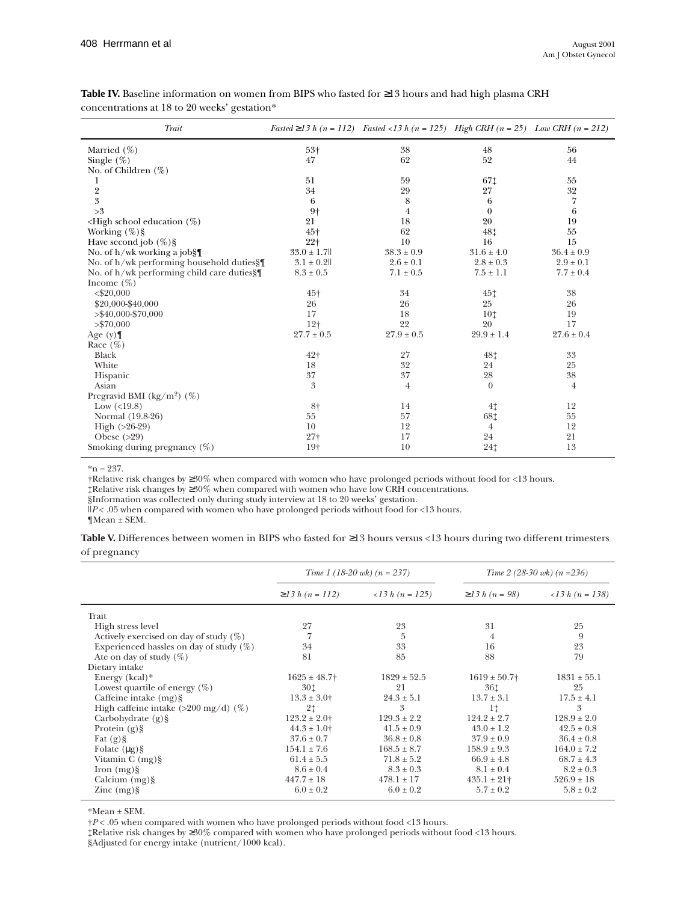| Trait                                              |                | Fasted $\geq$ 13 h (n = 112) Fasted < 13 h (n = 125) High CRH (n = 25) Low CRH (n = 212) |                |                |
|----------------------------------------------------|----------------|------------------------------------------------------------------------------------------|----------------|----------------|
| Married $(\%)$                                     | $53+$          | 38                                                                                       | 48             | 56             |
| Single $(\%)$                                      | 47             | 62                                                                                       | 52             | 44             |
| No. of Children $(\%)$                             |                |                                                                                          |                |                |
| 1                                                  | 51             | 59                                                                                       | 671            | 55             |
| $\frac{2}{3}$                                      | 34             | 29                                                                                       | 27             | 32             |
|                                                    | 6              | 8                                                                                        | 6              | 7              |
| >3                                                 | $9+$           | 4                                                                                        | $\theta$       | 6              |
| $\leq$ High school education $(\%)$                | 21             | 18                                                                                       | 20             | 19             |
| Working $(\%)\$                                    | $45+$          | 62                                                                                       | 48‡            | 55             |
| Have second job $(\%)\$                            | $22 +$         | 10                                                                                       | 16             | 15             |
| No. of $h/wk$ working a job $\S$                   | $33.0 \pm 1.7$ | $38.3 \pm 0.9$                                                                           | $31.6 \pm 4.0$ | $36.4 \pm 0.9$ |
| No. of $h/wk$ performing household duties $\int \$ | $3.1 \pm 0.2$  | $2.6 \pm 0.1$                                                                            | $2.8 \pm 0.3$  | $2.9 \pm 0.1$  |
| No. of h/wk performing child care duties§          | $8.3 \pm 0.5$  | $7.1 \pm 0.5$                                                                            | $7.5 \pm 1.1$  | $7.7 \pm 0.4$  |
| Income $(\%)$                                      |                |                                                                                          |                |                |
| $<$ \$20,000                                       | $45+$          | 34                                                                                       | 451            | 38             |
| \$20,000-\$40,000                                  | 26             | 26                                                                                       | 25             | 26             |
| $>$ \$40,000-\$70,000                              | 17             | 18                                                                                       | 101            | 19             |
| > \$70,000                                         | $12+$          | 22                                                                                       | 20             | 17             |
| Age $(y)$                                          | $27.7 \pm 0.5$ | $27.9 \pm 0.5$                                                                           | $29.9 \pm 1.4$ | $27.6 \pm 0.4$ |
| Race $(\%)$                                        |                |                                                                                          |                |                |
| Black                                              | 42+            | 27                                                                                       | 48‡            | 33             |
| White                                              | 18             | 32                                                                                       | 24             | 25             |
| Hispanic                                           | 37             | 37                                                                                       | 28             | 38             |
| Asian                                              | 3              | 4                                                                                        | $\theta$       | 4              |
| Pregravid BMI (kg/m²) $(\%)$                       |                |                                                                                          |                |                |
| Low $(<19.8)$                                      | 8†             | 14                                                                                       | 4 <sub>1</sub> | 12             |
| Normal (19.8-26)                                   | 55             | 57                                                                                       | 68‡            | 55             |
| High $(>26-29)$                                    | 10             | 12                                                                                       | $\overline{4}$ | 12             |
| Obese $(>29)$                                      | $27+$          | 17                                                                                       | 24             | 21             |
| Smoking during pregnancy $(\%)$                    | $19+$          | 10                                                                                       | 241            | 13             |

### **Table IV.** Baseline information on women from BIPS who fasted for ≥13 hours and had high plasma CRH concentrations at 18 to 20 weeks' gestation\*

 $*n = 237.$ 

†Relative risk changes by ≥30% when compared with women who have prolonged periods without food for <13 hours.

‡Relative risk changes by ≥30% when compared with women who have low CRH concentrations.

§Information was collected only during study interview at 18 to 20 weeks' gestation.

ll*P* < .05 when compared with women who have prolonged periods without food for <13 hours.

¶Mean ± SEM.

|              | <b>Table V.</b> Differences between women in BIPS who fasted for $\geq$ 13 hours versus <13 hours during two different trimesters |
|--------------|-----------------------------------------------------------------------------------------------------------------------------------|
| of pregnancy |                                                                                                                                   |

|                                                | Time 1 (18-20 wk) $(n = 237)$ |                          |                      | Time 2 (28-30 wk) $(n = 236)$ |
|------------------------------------------------|-------------------------------|--------------------------|----------------------|-------------------------------|
|                                                | $\geq$ 13 h (n = 112)         | $\langle$ 13 h (n = 125) | $\geq$ 13 h (n = 98) | $\langle$ 13 h (n = 138)      |
| Trait                                          |                               |                          |                      |                               |
| High stress level                              | 27                            | 23                       | 31                   | 25                            |
| Actively exercised on day of study $(\%)$      | 7                             | 5                        | $\overline{4}$       | 9                             |
| Experienced has les on day of study $(\%)$     | 34                            | 33                       | 16                   | 23                            |
| Ate on day of study $(\%)$                     | 81                            | 85                       | 88                   | 79                            |
| Dietary intake                                 |                               |                          |                      |                               |
| Energy $(kcal)*$                               | $1625 \pm 48.7$               | $1829 \pm 52.5$          | $1619 \pm 50.7$      | $1831 \pm 55.1$               |
| Lowest quartile of energy $(\%)$               | 30‡                           | 21                       | 361                  | 25                            |
| Caffeine intake $(mg)$ §                       | $13.3 \pm 3.0$                | $24.3 \pm 5.1$           | $13.7 \pm 3.1$       | $17.5 \pm 4.1$                |
| High caffeine intake $(>200 \text{ mg/d})$ (%) | 2 <sub>1</sub>                | 3                        | 11                   | 3                             |
| Carbohydrate $(g)$ §                           | $123.2 \pm 2.0$               | $129.3 \pm 2.2$          | $124.2 \pm 2.7$      | $128.9 \pm 2.0$               |
| Protein $(g)$ §                                | $44.3 \pm 1.0$                | $41.5 \pm 0.9$           | $43.0 \pm 1.2$       | $42.5 \pm 0.8$                |
| Fat $(g)$ §                                    | $37.6 \pm 0.7$                | $36.8 \pm 0.8$           | $37.9 \pm 0.9$       | $36.4 \pm 0.8$                |
| Folate $(\mu g)$ §                             | $154.1 \pm 7.6$               | $168.5 \pm 8.7$          | $158.9 \pm 9.3$      | $164.0 \pm 7.2$               |
| Vitamin $C$ (mg) $§$                           | $61.4 \pm 5.5$                | $71.8 \pm 5.2$           | $66.9 \pm 4.8$       | $68.7 \pm 4.3$                |
| Iron $(mg)$ §                                  | $8.6 \pm 0.4$                 | $8.3 \pm 0.3$            | $8.1 \pm 0.4$        | $8.2 \pm 0.3$                 |
| Calcium $(mg)$ §                               | $447.7 \pm 18$                | $478.1 \pm 17$           | $435.1 \pm 21$       | $526.9 \pm 18$                |
| $\rm Zinc$ (mg) $\rm \S$                       | $6.0 \pm 0.2$                 | $6.0 \pm 0.2$            | $5.7 \pm 0.2$        | $5.8 \pm 0.2$                 |

\*Mean ± SEM.

†*P* < .05 when compared with women who have prolonged periods without food <13 hours.

‡Relative risk changes by ≥30% compared with women who have prolonged periods without food <13 hours. §Adjusted for energy intake (nutrient/1000 kcal).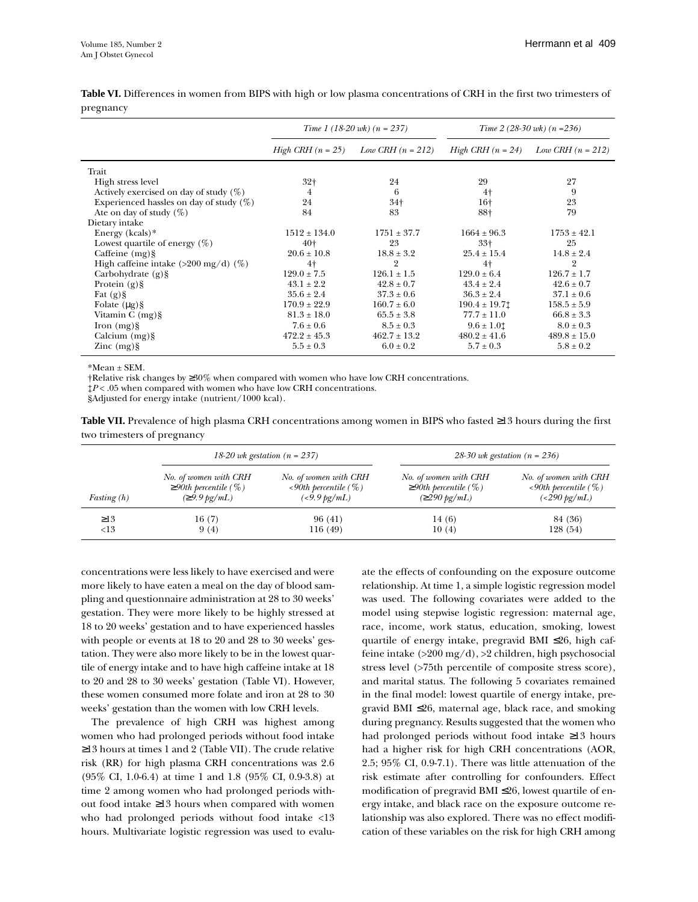|                                                | Time 1 (18-20 wk) $(n = 237)$ |                     | Time 2 (28-30 wk) $(n = 236)$ |                     |
|------------------------------------------------|-------------------------------|---------------------|-------------------------------|---------------------|
|                                                | <i>High CRH</i> $(n = 25)$    | Low CRH $(n = 212)$ | $High \, CRH \, (n = 24)$     | Low CRH $(n = 212)$ |
| Trait                                          |                               |                     |                               |                     |
| High stress level                              | 32 <sub>†</sub>               | 24                  | 29                            | 27                  |
| Actively exercised on day of study $(\%)$      | 4                             | 6                   | $4+$                          | 9                   |
| Experienced has les on day of study $(\%)$     | 24                            | 34 <sup>†</sup>     | 16†                           | 23                  |
| Ate on day of study $(\%)$                     | 84                            | 83                  | 88†                           | 79                  |
| Dietary intake                                 |                               |                     |                               |                     |
| Energy $(kcals)*$                              | $1512 \pm 134.0$              | $1751 \pm 37.7$     | $1664 \pm 96.3$               | $1753 \pm 42.1$     |
| Lowest quartile of energy $(\%)$               | $40+$                         | 23                  | $33+$                         | 25                  |
| Caffeine $(mg)$ §                              | $20.6 \pm 10.8$               | $18.8 \pm 3.2$      | $25.4 \pm 15.4$               | $14.8 \pm 2.4$      |
| High caffeine intake $(>200 \text{ mg/d})$ (%) | $4+$                          | $\overline{2}$      | 4 <sup>†</sup>                | $\overline{2}$      |
| Carbohydrate $(g)$ §                           | $129.0 \pm 7.5$               | $126.1 \pm 1.5$     | $129.0 \pm 6.4$               | $126.7 \pm 1.7$     |
| Protein $(g)$ §                                | $43.1 \pm 2.2$                | $42.8 \pm 0.7$      | $43.4 \pm 2.4$                | $42.6 \pm 0.7$      |
| Fat $(g)$ §                                    | $35.6 \pm 2.4$                | $37.3 \pm 0.6$      | $36.3 \pm 2.4$                | $37.1 \pm 0.6$      |
| Folate $(\mu g)$ §                             | $170.9 \pm 22.9$              | $160.7 \pm 6.0$     | $190.4 \pm 19.71$             | $158.5 \pm 5.9$     |
| Vitamin $C$ (mg) $§$                           | $81.3 \pm 18.0$               | $65.5 \pm 3.8$      | $77.7 \pm 11.0$               | $66.8 \pm 3.3$      |
| Iron $(mg)$ §                                  | $7.6 \pm 0.6$                 | $8.5 \pm 0.3$       | $9.6 \pm 1.01$                | $8.0 \pm 0.3$       |
| Calcium $(mg)$ §                               | $472.2 \pm 45.3$              | $462.7 \pm 13.2$    | $480.2 \pm 41.6$              | $489.8 \pm 15.0$    |
| $\rm Zinc$ (mg) $\rm \S$                       | $5.5 \pm 0.3$                 | $6.0 \pm 0.2$       | $5.7 \pm 0.3$                 | $5.8 \pm 0.2$       |

**Table VI.** Differences in women from BIPS with high or low plasma concentrations of CRH in the first two trimesters of pregnancy

 $*Mean + SEM$ .

†Relative risk changes by ≥30% when compared with women who have low CRH concentrations.

‡*P* < .05 when compared with women who have low CRH concentrations.

§Adjusted for energy intake (nutrient/1000 kcal).

**Table VII.** Prevalence of high plasma CRH concentrations among women in BIPS who fasted ≥13 hours during the first two trimesters of pregnancy

|               | 18-20 wk gestation $(n = 237)$ |                             | 28-30 wk gestation ( $n = 236$ ) |                             |  |
|---------------|--------------------------------|-----------------------------|----------------------------------|-----------------------------|--|
| Fasting $(h)$ | No. of women with CRH          | No. of women with CRH       | No. of women with CRH            | No. of women with CRH       |  |
|               | $\geq$ 90th percentile (%)     | $\leq 90$ th percentile (%) | $\geq$ 90th percentile (%)       | $\leq 90$ th percentile (%) |  |
|               | $\approx 9.9 \text{ kg/mL}$    | $(<9.9 \,\text{pg/mL})$     | $(\geq 290 \text{ kg/mL})$       | $(<290 \text{ kg/mL})$      |  |
| $\geq$ 13     | 16(7)                          | 96 (41)                     | 14 (6)                           | 84 (36)                     |  |
| <13           | 9(4)                           | 116 (49)                    | 10(4)                            | 128 (54)                    |  |

concentrations were less likely to have exercised and were more likely to have eaten a meal on the day of blood sampling and questionnaire administration at 28 to 30 weeks' gestation. They were more likely to be highly stressed at 18 to 20 weeks' gestation and to have experienced hassles with people or events at 18 to 20 and 28 to 30 weeks' gestation. They were also more likely to be in the lowest quartile of energy intake and to have high caffeine intake at 18 to 20 and 28 to 30 weeks' gestation (Table VI). However, these women consumed more folate and iron at 28 to 30 weeks' gestation than the women with low CRH levels.

The prevalence of high CRH was highest among women who had prolonged periods without food intake ≥13 hours at times 1 and 2 (Table VII). The crude relative risk (RR) for high plasma CRH concentrations was 2.6 (95% CI, 1.0-6.4) at time 1 and 1.8 (95% CI, 0.9-3.8) at time 2 among women who had prolonged periods without food intake ≥13 hours when compared with women who had prolonged periods without food intake <13 hours. Multivariate logistic regression was used to evaluate the effects of confounding on the exposure outcome relationship. At time 1, a simple logistic regression model was used. The following covariates were added to the model using stepwise logistic regression: maternal age, race, income, work status, education, smoking, lowest quartile of energy intake, pregravid BMI ≤26, high caffeine intake (>200 mg/d), >2 children, high psychosocial stress level (>75th percentile of composite stress score), and marital status. The following 5 covariates remained in the final model: lowest quartile of energy intake, pregravid BMI ≤26, maternal age, black race, and smoking during pregnancy. Results suggested that the women who had prolonged periods without food intake ≥13 hours had a higher risk for high CRH concentrations (AOR, 2.5; 95% CI, 0.9-7.1). There was little attenuation of the risk estimate after controlling for confounders. Effect modification of pregravid BMI ≤26, lowest quartile of energy intake, and black race on the exposure outcome relationship was also explored. There was no effect modification of these variables on the risk for high CRH among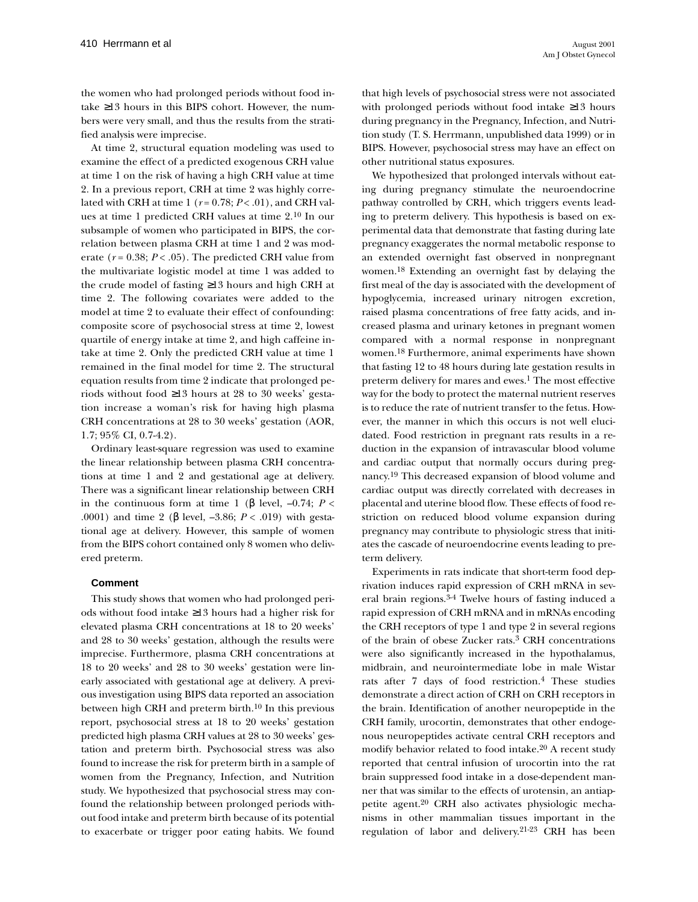the women who had prolonged periods without food intake ≥13 hours in this BIPS cohort. However, the numbers were very small, and thus the results from the stratified analysis were imprecise.

At time 2, structural equation modeling was used to examine the effect of a predicted exogenous CRH value at time 1 on the risk of having a high CRH value at time 2. In a previous report, CRH at time 2 was highly correlated with CRH at time 1 (*r* = 0.78; *P* < .01), and CRH values at time 1 predicted CRH values at time 2.10 In our subsample of women who participated in BIPS, the correlation between plasma CRH at time 1 and 2 was moderate ( $r = 0.38$ ;  $P < .05$ ). The predicted CRH value from the multivariate logistic model at time 1 was added to the crude model of fasting ≥13 hours and high CRH at time 2. The following covariates were added to the model at time 2 to evaluate their effect of confounding: composite score of psychosocial stress at time 2, lowest quartile of energy intake at time 2, and high caffeine intake at time 2. Only the predicted CRH value at time 1 remained in the final model for time 2. The structural equation results from time 2 indicate that prolonged periods without food ≥13 hours at 28 to 30 weeks' gestation increase a woman's risk for having high plasma CRH concentrations at 28 to 30 weeks' gestation (AOR, 1.7; 95% CI, 0.7-4.2).

Ordinary least-square regression was used to examine the linear relationship between plasma CRH concentrations at time 1 and 2 and gestational age at delivery. There was a significant linear relationship between CRH in the continuous form at time 1 (β level,  $-0.74$ ; *P* < .0001) and time 2 (β level, –3.86; *P* < .019) with gestational age at delivery. However, this sample of women from the BIPS cohort contained only 8 women who delivered preterm.

#### **Comment**

This study shows that women who had prolonged periods without food intake ≥13 hours had a higher risk for elevated plasma CRH concentrations at 18 to 20 weeks' and 28 to 30 weeks' gestation, although the results were imprecise. Furthermore, plasma CRH concentrations at 18 to 20 weeks' and 28 to 30 weeks' gestation were linearly associated with gestational age at delivery. A previous investigation using BIPS data reported an association between high CRH and preterm birth.10 In this previous report, psychosocial stress at 18 to 20 weeks' gestation predicted high plasma CRH values at 28 to 30 weeks' gestation and preterm birth. Psychosocial stress was also found to increase the risk for preterm birth in a sample of women from the Pregnancy, Infection, and Nutrition study. We hypothesized that psychosocial stress may confound the relationship between prolonged periods without food intake and preterm birth because of its potential to exacerbate or trigger poor eating habits. We found

that high levels of psychosocial stress were not associated with prolonged periods without food intake ≥13 hours during pregnancy in the Pregnancy, Infection, and Nutrition study (T. S. Herrmann, unpublished data 1999) or in BIPS. However, psychosocial stress may have an effect on other nutritional status exposures.

We hypothesized that prolonged intervals without eating during pregnancy stimulate the neuroendocrine pathway controlled by CRH, which triggers events leading to preterm delivery. This hypothesis is based on experimental data that demonstrate that fasting during late pregnancy exaggerates the normal metabolic response to an extended overnight fast observed in nonpregnant women.18 Extending an overnight fast by delaying the first meal of the day is associated with the development of hypoglycemia, increased urinary nitrogen excretion, raised plasma concentrations of free fatty acids, and increased plasma and urinary ketones in pregnant women compared with a normal response in nonpregnant women.18 Furthermore, animal experiments have shown that fasting 12 to 48 hours during late gestation results in preterm delivery for mares and ewes.<sup>1</sup> The most effective way for the body to protect the maternal nutrient reserves is to reduce the rate of nutrient transfer to the fetus. However, the manner in which this occurs is not well elucidated. Food restriction in pregnant rats results in a reduction in the expansion of intravascular blood volume and cardiac output that normally occurs during pregnancy.19 This decreased expansion of blood volume and cardiac output was directly correlated with decreases in placental and uterine blood flow. These effects of food restriction on reduced blood volume expansion during pregnancy may contribute to physiologic stress that initiates the cascade of neuroendocrine events leading to preterm delivery.

Experiments in rats indicate that short-term food deprivation induces rapid expression of CRH mRNA in several brain regions.3-4 Twelve hours of fasting induced a rapid expression of CRH mRNA and in mRNAs encoding the CRH receptors of type 1 and type 2 in several regions of the brain of obese Zucker rats.3 CRH concentrations were also significantly increased in the hypothalamus, midbrain, and neurointermediate lobe in male Wistar rats after 7 days of food restriction.4 These studies demonstrate a direct action of CRH on CRH receptors in the brain. Identification of another neuropeptide in the CRH family, urocortin, demonstrates that other endogenous neuropeptides activate central CRH receptors and modify behavior related to food intake.20 A recent study reported that central infusion of urocortin into the rat brain suppressed food intake in a dose-dependent manner that was similar to the effects of urotensin, an antiappetite agent.20 CRH also activates physiologic mechanisms in other mammalian tissues important in the regulation of labor and delivery.21-23 CRH has been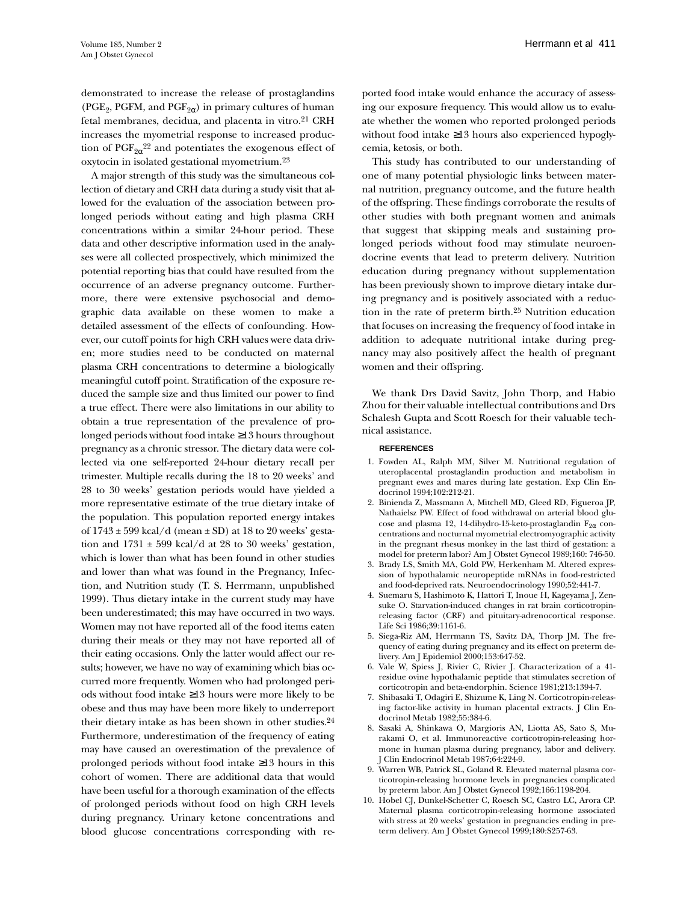demonstrated to increase the release of prostaglandins (PGE<sub>2</sub>, PGFM, and PGF<sub>2 $\alpha$ </sub>) in primary cultures of human fetal membranes, decidua, and placenta in vitro.21 CRH increases the myometrial response to increased production of  $\mathrm{PGF}_{2\alpha}^{22}$  and potentiates the exogenous effect of oxytocin in isolated gestational myometrium.23

A major strength of this study was the simultaneous collection of dietary and CRH data during a study visit that allowed for the evaluation of the association between prolonged periods without eating and high plasma CRH concentrations within a similar 24-hour period. These data and other descriptive information used in the analyses were all collected prospectively, which minimized the potential reporting bias that could have resulted from the occurrence of an adverse pregnancy outcome. Furthermore, there were extensive psychosocial and demographic data available on these women to make a detailed assessment of the effects of confounding. However, our cutoff points for high CRH values were data driven; more studies need to be conducted on maternal plasma CRH concentrations to determine a biologically meaningful cutoff point. Stratification of the exposure reduced the sample size and thus limited our power to find a true effect. There were also limitations in our ability to obtain a true representation of the prevalence of prolonged periods without food intake ≥13 hours throughout pregnancy as a chronic stressor. The dietary data were collected via one self-reported 24-hour dietary recall per trimester. Multiple recalls during the 18 to 20 weeks' and 28 to 30 weeks' gestation periods would have yielded a more representative estimate of the true dietary intake of the population. This population reported energy intakes of  $1743 \pm 599$  kcal/d (mean  $\pm$  SD) at 18 to 20 weeks' gestation and  $1731 \pm 599$  kcal/d at 28 to 30 weeks' gestation, which is lower than what has been found in other studies and lower than what was found in the Pregnancy, Infection, and Nutrition study (T. S. Herrmann, unpublished 1999). Thus dietary intake in the current study may have been underestimated; this may have occurred in two ways. Women may not have reported all of the food items eaten during their meals or they may not have reported all of their eating occasions. Only the latter would affect our results; however, we have no way of examining which bias occurred more frequently. Women who had prolonged periods without food intake ≥13 hours were more likely to be obese and thus may have been more likely to underreport their dietary intake as has been shown in other studies.24 Furthermore, underestimation of the frequency of eating may have caused an overestimation of the prevalence of prolonged periods without food intake ≥13 hours in this cohort of women. There are additional data that would have been useful for a thorough examination of the effects of prolonged periods without food on high CRH levels during pregnancy. Urinary ketone concentrations and blood glucose concentrations corresponding with reported food intake would enhance the accuracy of assessing our exposure frequency. This would allow us to evaluate whether the women who reported prolonged periods without food intake ≥13 hours also experienced hypoglycemia, ketosis, or both.

This study has contributed to our understanding of one of many potential physiologic links between maternal nutrition, pregnancy outcome, and the future health of the offspring. These findings corroborate the results of other studies with both pregnant women and animals that suggest that skipping meals and sustaining prolonged periods without food may stimulate neuroendocrine events that lead to preterm delivery. Nutrition education during pregnancy without supplementation has been previously shown to improve dietary intake during pregnancy and is positively associated with a reduction in the rate of preterm birth.25 Nutrition education that focuses on increasing the frequency of food intake in addition to adequate nutritional intake during pregnancy may also positively affect the health of pregnant women and their offspring.

We thank Drs David Savitz, John Thorp, and Habio Zhou for their valuable intellectual contributions and Drs Schalesh Gupta and Scott Roesch for their valuable technical assistance.

#### **REFERENCES**

- 1. Fowden AL, Ralph MM, Silver M. Nutritional regulation of uteroplacental prostaglandin production and metabolism in pregnant ewes and mares during late gestation. Exp Clin Endocrinol 1994;102:212-21.
- 2. Binienda Z, Massmann A, Mitchell MD, Gleed RD, Figueroa JP, Nathaielsz PW. Effect of food withdrawal on arterial blood glucose and plasma 12, 14-dihydro-15-keto-prostaglandin  $F_{2\alpha}$  concentrations and nocturnal myometrial electromyographic activity in the pregnant rhesus monkey in the last third of gestation: a model for preterm labor? Am J Obstet Gynecol 1989;160: 746-50.
- 3. Brady LS, Smith MA, Gold PW, Herkenham M. Altered expression of hypothalamic neuropeptide mRNAs in food-restricted and food-deprived rats. Neuroendocrinology 1990;52:441-7.
- 4. Suemaru S, Hashimoto K, Hattori T, Inoue H, Kageyama J, Zensuke O. Starvation-induced changes in rat brain corticotropinreleasing factor (CRF) and pituitary-adrenocortical response. Life Sci 1986;39:1161-6.
- 5. Siega-Riz AM, Herrmann TS, Savitz DA, Thorp JM. The frequency of eating during pregnancy and its effect on preterm delivery. Am J Epidemiol 2000;153:647-52.
- 6. Vale W, Spiess J, Rivier C, Rivier J. Characterization of a 41 residue ovine hypothalamic peptide that stimulates secretion of corticotropin and beta-endorphin. Science 1981;213:1394-7.
- 7. Shibasaki T, Odagiri E, Shizume K, Ling N. Corticotropin-releasing factor-like activity in human placental extracts. J Clin Endocrinol Metab 1982;55:384-6.
- 8. Sasaki A, Shinkawa O, Margioris AN, Liotta AS, Sato S, Murakami O, et al. Immunoreactive corticotropin-releasing hormone in human plasma during pregnancy, labor and delivery. J Clin Endocrinol Metab 1987;64:224-9.
- 9. Warren WB, Patrick SL, Goland R. Elevated maternal plasma corticotropin-releasing hormone levels in pregnancies complicated by preterm labor. Am J Obstet Gynecol 1992;166:1198-204.
- 10. Hobel CJ, Dunkel-Schetter C, Roesch SC, Castro LC, Arora CP. Maternal plasma corticotropin-releasing hormone associated with stress at 20 weeks' gestation in pregnancies ending in preterm delivery. Am J Obstet Gynecol 1999;180:S257-63.